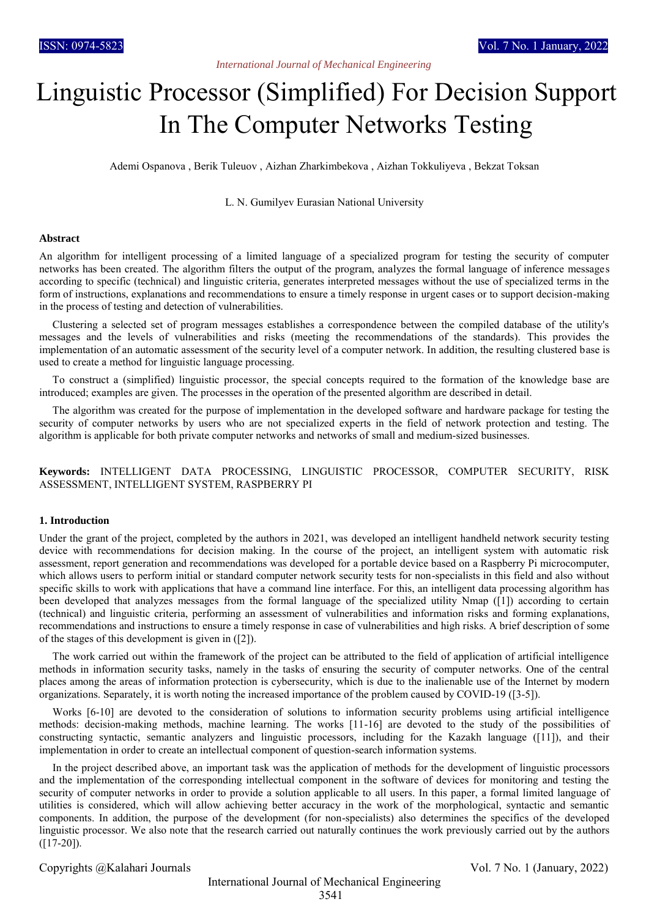# *International Journal of Mechanical Engineering*

# Linguistic Processor (Simplified) For Decision Support In The Computer Networks Testing

Ademi Ospanova , Berik Tuleuov , Aizhan Zharkimbekova , Aizhan Tokkuliyeva , Bekzat Toksan

L. N. Gumilyev Eurasian National University

#### **Abstract**

An algorithm for intelligent processing of a limited language of a specialized program for testing the security of computer networks has been created. The algorithm filters the output of the program, analyzes the formal language of inference messages according to specific (technical) and linguistic criteria, generates interpreted messages without the use of specialized terms in the form of instructions, explanations and recommendations to ensure a timely response in urgent cases or to support decision-making in the process of testing and detection of vulnerabilities.

Clustering a selected set of program messages establishes a correspondence between the compiled database of the utility's messages and the levels of vulnerabilities and risks (meeting the recommendations of the standards). This provides the implementation of an automatic assessment of the security level of a computer network. In addition, the resulting clustered base is used to create a method for linguistic language processing.

To construct a (simplified) linguistic processor, the special concepts required to the formation of the knowledge base are introduced; examples are given. The processes in the operation of the presented algorithm are described in detail.

The algorithm was created for the purpose of implementation in the developed software and hardware package for testing the security of computer networks by users who are not specialized experts in the field of network protection and testing. The algorithm is applicable for both private computer networks and networks of small and medium-sized businesses.

**Keywords:** INTELLIGENT DATA PROCESSING, LINGUISTIC PROCESSOR, COMPUTER SECURITY, RISK ASSESSMENT, INTELLIGENT SYSTEM, RASPBERRY PI

## **1. Introduction**

Under the grant of the project, completed by the authors in 2021, was developed an intelligent handheld network security testing device with recommendations for decision making. In the course of the project, an intelligent system with automatic risk assessment, report generation and recommendations was developed for a portable device based on a Raspberry Pi microcomputer, which allows users to perform initial or standard computer network security tests for non-specialists in this field and also without specific skills to work with applications that have a command line interface. For this, an intelligent data processing algorithm has been developed that analyzes messages from the formal language of the specialized utility Nmap ([1]) according to certain (technical) and linguistic criteria, performing an assessment of vulnerabilities and information risks and forming explanations, recommendations and instructions to ensure a timely response in case of vulnerabilities and high risks. A brief description of some of the stages of this development is given in ([2]).

The work carried out within the framework of the project can be attributed to the field of application of artificial intelligence methods in information security tasks, namely in the tasks of ensuring the security of computer networks. One of the central places among the areas of information protection is cybersecurity, which is due to the inalienable use of the Internet by modern organizations. Separately, it is worth noting the increased importance of the problem caused by COVID-19 ([3-5]).

Works [6-10] are devoted to the consideration of solutions to information security problems using artificial intelligence methods: decision-making methods, machine learning. The works [11-16] are devoted to the study of the possibilities of constructing syntactic, semantic analyzers and linguistic processors, including for the Kazakh language ([11]), and their implementation in order to create an intellectual component of question-search information systems.

In the project described above, an important task was the application of methods for the development of linguistic processors and the implementation of the corresponding intellectual component in the software of devices for monitoring and testing the security of computer networks in order to provide a solution applicable to all users. In this paper, a formal limited language of utilities is considered, which will allow achieving better accuracy in the work of the morphological, syntactic and semantic components. In addition, the purpose of the development (for non-specialists) also determines the specifics of the developed linguistic processor. We also note that the research carried out naturally continues the work previously carried out by the authors  $([17-20]).$ 

Copyrights @Kalahari Journals Vol. 7 No. 1 (January, 2022)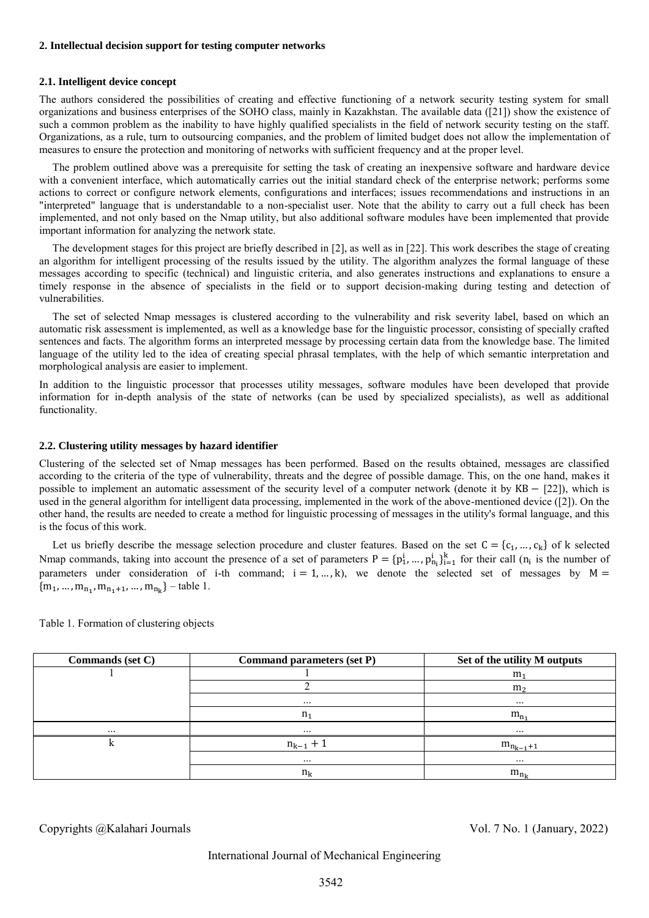#### **2. Intellectual decision support for testing computer networks**

## **2.1. Intelligent device concept**

The authors considered the possibilities of creating and effective functioning of a network security testing system for small organizations and business enterprises of the SOHO class, mainly in Kazakhstan. The available data ([21]) show the existence of such a common problem as the inability to have highly qualified specialists in the field of network security testing on the staff. Organizations, as a rule, turn to outsourcing companies, and the problem of limited budget does not allow the implementation of measures to ensure the protection and monitoring of networks with sufficient frequency and at the proper level.

The problem outlined above was a prerequisite for setting the task of creating an inexpensive software and hardware device with a convenient interface, which automatically carries out the initial standard check of the enterprise network; performs some actions to correct or configure network elements, configurations and interfaces; issues recommendations and instructions in an "interpreted" language that is understandable to a non-specialist user. Note that the ability to carry out a full check has been implemented, and not only based on the Nmap utility, but also additional software modules have been implemented that provide important information for analyzing the network state.

The development stages for this project are briefly described in [2], as well as in [22]. This work describes the stage of creating an algorithm for intelligent processing of the results issued by the utility. The algorithm analyzes the formal language of these messages according to specific (technical) and linguistic criteria, and also generates instructions and explanations to ensure a timely response in the absence of specialists in the field or to support decision-making during testing and detection of vulnerabilities.

The set of selected Nmap messages is clustered according to the vulnerability and risk severity label, based on which an automatic risk assessment is implemented, as well as a knowledge base for the linguistic processor, consisting of specially crafted sentences and facts. The algorithm forms an interpreted message by processing certain data from the knowledge base. The limited language of the utility led to the idea of creating special phrasal templates, with the help of which semantic interpretation and morphological analysis are easier to implement.

In addition to the linguistic processor that processes utility messages, software modules have been developed that provide information for in-depth analysis of the state of networks (can be used by specialized specialists), as well as additional functionality.

## **2.2. Clustering utility messages by hazard identifier**

Clustering of the selected set of Nmap messages has been performed. Based on the results obtained, messages are classified according to the criteria of the type of vulnerability, threats and the degree of possible damage. This, on the one hand, makes it possible to implement an automatic assessment of the security level of a computer network (denote it by KB − [22]), which is used in the general algorithm for intelligent data processing, implemented in the work of the above-mentioned device ([2]). On the other hand, the results are needed to create a method for linguistic processing of messages in the utility's formal language, and this is the focus of this work.

Let us briefly describe the message selection procedure and cluster features. Based on the set  $C = \{c_1, ..., c_k\}$  of k selected Nmap commands, taking into account the presence of a set of parameters  $P = \{p_1^i, ..., p_{n_i}^i\}_{i=1}^k$  for their call  $(n_i$  is the number of parameters under consideration of i-th command;  $i = 1, ..., k$ , we denote the selected set of messages by  $M =$  ${m_1, ..., m_{n_1}, m_{n_1+1}, ..., m_{n_k}}$  – table 1.

| Commands (set C) | <b>Command parameters (set P)</b> | Set of the utility M outputs |
|------------------|-----------------------------------|------------------------------|
|                  |                                   | m <sub>1</sub>               |
|                  |                                   | m <sub>2</sub>               |
|                  | $\cdots$                          | $\cdots$                     |
|                  | n <sub>1</sub>                    | $m_{n_1}$                    |
| $\cdots$         | $\cdots$                          | $\cdots$                     |
|                  | $n_{k-1}$ + 1                     | $m_{n_{k-1}+1}$              |
|                  | $\cdots$                          | $\cdots$                     |
|                  | $n_k$                             | $m_{n_k}$                    |

Table 1. Formation of clustering objects

Copyrights @Kalahari Journals Vol. 7 No. 1 (January, 2022)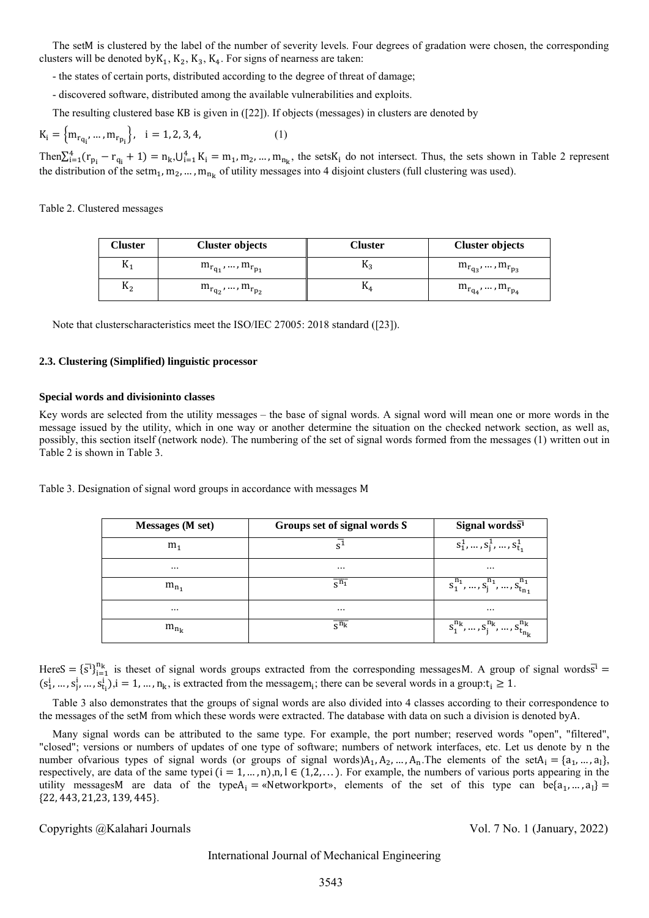The setM is clustered by the label of the number of severity levels. Four degrees of gradation were chosen, the corresponding clusters will be denoted by  $K_1, K_2, K_3, K_4$ . For signs of nearness are taken:

- the states of certain ports, distributed according to the degree of threat of damage;
- discovered software, distributed among the available vulnerabilities and exploits.
- The resulting clustered base KB is given in ([22]). If objects (messages) in clusters are denoted by

$$
K_{i} = \{m_{r_{q_i}}, ..., m_{r_{p_i}}\}, \quad i = 1, 2, 3, 4,
$$
 (1)

 $\text{Then}\sum_{i=1}^{4}(r_{p_i}-r_{q_i}+1)=n_k,\bigcup_{i=1}^{4}K_i=m_1,m_2,...,m_{n_k}$ , the sets  $K_i$  do not intersect. Thus, the sets shown in Table 2 represent the distribution of the setm<sub>1</sub>, m<sub>2</sub>, ..., m<sub>nk</sub> of utility messages into 4 disjoint clusters (full clustering was used).

Table 2. Clustered messages

| Cluster        | <b>Cluster objects</b>     | Cluster        | <b>Cluster objects</b>       |
|----------------|----------------------------|----------------|------------------------------|
| $\mathbf{n}_1$ | $m_{r_{q_1}},,m_{r_{p_1}}$ | $\mathbf{u}_3$ | $m_{r_{q_3}}, , m_{r_{p_3}}$ |
| $\mathsf{n}_2$ | $m_{r_{q_2}},,m_{r_{p_2}}$ | 184            | $m_{r_{q_4}},,m_{r_{p_4}}$   |

Note that clusterscharacteristics meet the ISO/IEC 27005: 2018 standard ([23]).

## **2.3. Clustering (Simplified) linguistic processor**

## **Special words and divisioninto classes**

Key words are selected from the utility messages – the base of signal words. A signal word will mean one or more words in the message issued by the utility, which in one way or another determine the situation on the checked network section, as well as, possibly, this section itself (network node). The numbering of the set of signal words formed from the messages (1) written out in Table 2 is shown in Table 3.

Table 3. Designation of signal word groups in accordance with messages M

| Messages (M set) | Groups set of signal words S | Signal words $\overline{s^1}$             |
|------------------|------------------------------|-------------------------------------------|
| m <sub>1</sub>   | $\overline{s^1}$             | $S_1^1, , S_j^1, , S_{t_1}^1$             |
| $\cdots$         | $\cdots$                     | $\cdots$                                  |
| $m_{n_1}$        | $\overline{s^{n_1}}$         | $S_1^{n_1},,S_j^{n_1},,S_{t_{n_1}}^{n_1}$ |
| $\cdots$         | $\cdots$                     | $\cdots$                                  |
| $m_{n_k}$        | $\overline{s^{n_k}}$         | $s_1^{n_k},,s_j^{n_k},,s_{t_{n_k}}^{n_k}$ |

HereS =  $\{\overline{s}\}^{n_k}_{i=1}$  is theset of signal words groups extracted from the corresponding messagesM. A group of signal words  $\overline{s}^1$  =  $(s_1^i, ..., s_j^i, ..., s_{t_i}^i), i = 1, ..., n_k$ , is extracted from the messagem<sub>i</sub>; there can be several words in a group:  $t_i \ge 1$ .

Table 3 also demonstrates that the groups of signal words are also divided into 4 classes according to their correspondence to the messages of the setM from which these words were extracted. The database with data on such a division is denoted byA.

Many signal words can be attributed to the same type. For example, the port number; reserved words "open", "filtered", "closed"; versions or numbers of updates of one type of software; numbers of network interfaces, etc. Let us denote by n the number of various types of signal words (or groups of signal words) $A_1, A_2, ..., A_n$ . The elements of the set $A_i = \{a_1, ..., a_l\}$ , respectively, are data of the same typei  $(i = 1, ..., n)$ ,  $n, l \in (1, 2, ...)$ . For example, the numbers of various ports appearing in the utility messagesM are data of the type $A_i = \alpha$ Networkport», elements of the set of this type can be $\{a_1, ..., a_l\}$ {22, 443, 21,23, 139, 445}.

# Copyrights @Kalahari Journals Vol. 7 No. 1 (January, 2022)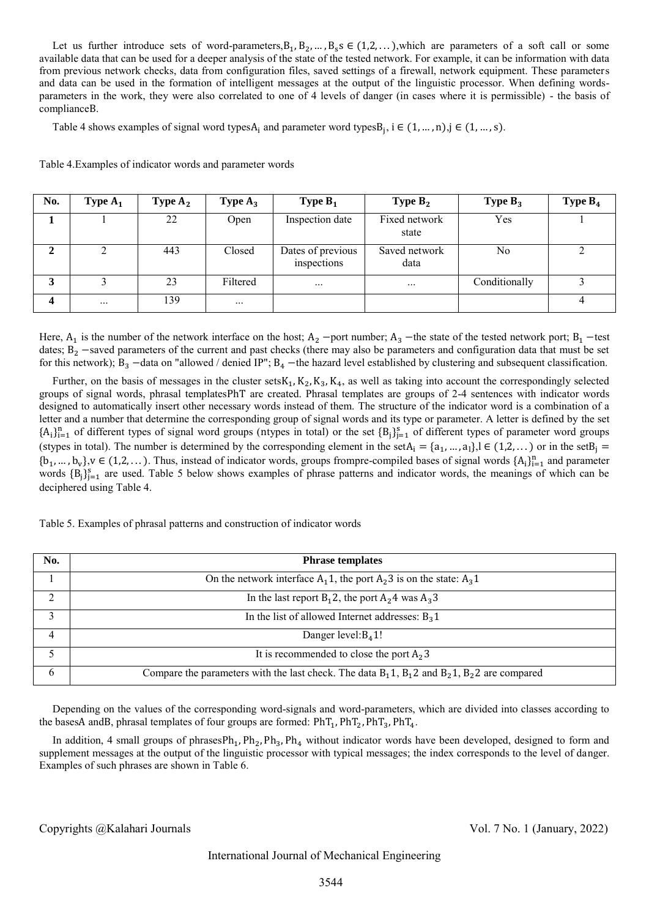Let us further introduce sets of word-parameters,  $B_1, B_2, ..., B_s$   $\in (1, 2, ...)$ , which are parameters of a soft call or some available data that can be used for a deeper analysis of the state of the tested network. For example, it can be information with data from previous network checks, data from configuration files, saved settings of a firewall, network equipment. These parameters and data can be used in the formation of intelligent messages at the output of the linguistic processor. When defining wordsparameters in the work, they were also correlated to one of 4 levels of danger (in cases where it is permissible) - the basis of complianceB.

Table 4 shows examples of signal word types $A_i$  and parameter word types $B_j$ ,  $i \in (1, ..., n)$ ,  $j \in (1, ..., s)$ .

| No. | Type $A_1$ | Type $A_2$ | Type $A_3$ | Type $B_1$                       | <b>Type <math>B_2</math></b> | Type $B_3$    | Type $B_4$ |
|-----|------------|------------|------------|----------------------------------|------------------------------|---------------|------------|
|     |            | 22         | Open       | Inspection date                  | Fixed network<br>state       | Yes           |            |
|     |            | 443        | Closed     | Dates of previous<br>inspections | Saved network<br>data        | No            |            |
|     |            | 23         | Filtered   | $\cdots$                         | $\cdots$                     | Conditionally |            |
| Δ   | $\cdots$   | 139        | $\cdots$   |                                  |                              |               |            |

Here,  $A_1$  is the number of the network interface on the host;  $A_2$  –port number;  $A_3$  –the state of the tested network port;  $B_1$  –test dates; B<sub>2</sub> −saved parameters of the current and past checks (there may also be parameters and configuration data that must be set for this network);  $B_3$  –data on "allowed / denied IP";  $B_4$  –the hazard level established by clustering and subsequent classification.

Further, on the basis of messages in the cluster sets $K_1, K_2, K_3, K_4$ , as well as taking into account the correspondingly selected groups of signal words, phrasal templatesPhT are created. Phrasal templates are groups of 2-4 sentences with indicator words designed to automatically insert other necessary words instead of them. The structure of the indicator word is a combination of a letter and a number that determine the corresponding group of signal words and its type or parameter. A letter is defined by the set  ${A_i}_{i=1}^n$  of different types of signal word groups (ntypes in total) or the set  ${B_j}_{j=1}^s$  of different types of parameter word groups (stypes in total). The number is determined by the corresponding element in the set $A_i = \{a_1, ..., a_l\}$ ,  $l \in (1, 2, ...)$  or in the set $B_j =$  ${b_1, ..., b_v}$ ,  $v \in (1, 2, ...)$ . Thus, instead of indicator words, groups frompre-compiled bases of signal words  ${A_i}_{i=1}^n$  and parameter words  ${B_j}_{j=1}^s$  are used. Table 5 below shows examples of phrase patterns and indicator words, the meanings of which can be deciphered using Table 4.

Table 5. Examples of phrasal patterns and construction of indicator words

| No.       | <b>Phrase templates</b>                                                                                   |
|-----------|-----------------------------------------------------------------------------------------------------------|
|           | On the network interface $A_1$ 1, the port $A_2$ 3 is on the state: $A_3$ 1                               |
| $\bigcap$ | In the last report $B_1 2$ , the port $A_2 4$ was $A_3 3$                                                 |
| 3         | In the list of allowed Internet addresses: $B_3$ 1                                                        |
| 4         | Danger level: $B_4$ 1!                                                                                    |
|           | It is recommended to close the port $A_2$ 3                                                               |
| 6         | Compare the parameters with the last check. The data $B_1$ , $B_1$ , $B_2$ and $B_2$ , $B_2$ are compared |

Depending on the values of the corresponding word-signals and word-parameters, which are divided into classes according to the basesA andB, phrasal templates of four groups are formed:  $PhT_1$ ,  $PhT_2$ ,  $PhT_3$ ,  $PhT_4$ .

In addition, 4 small groups of phrasesPh<sub>1</sub>, Ph<sub>2</sub>, Ph<sub>3</sub>, Ph<sub>4</sub> without indicator words have been developed, designed to form and supplement messages at the output of the linguistic processor with typical messages; the index corresponds to the level of danger. Examples of such phrases are shown in Table 6.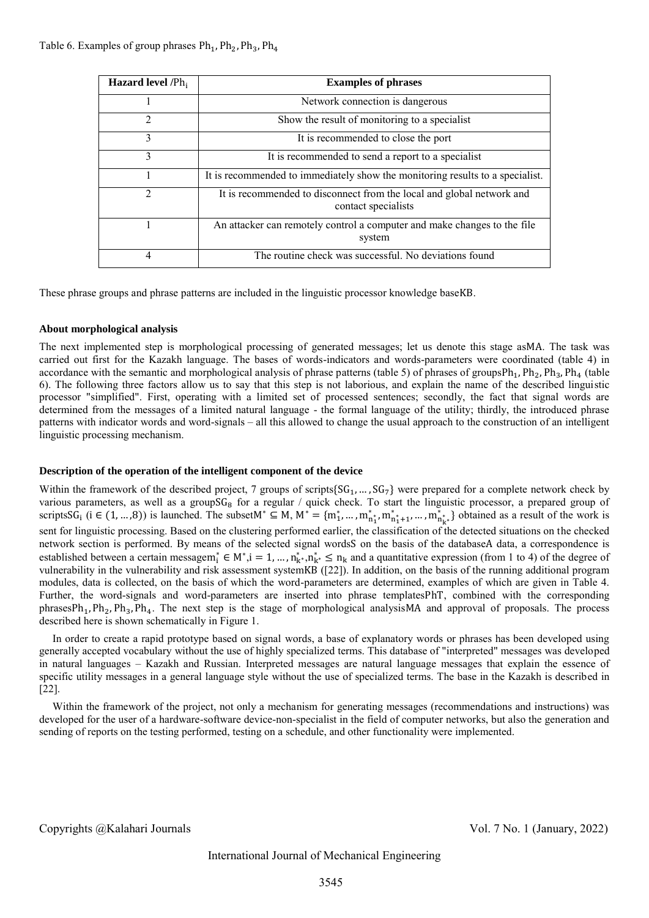| <b>Hazard level</b> $/Ph_i$ | <b>Examples of phrases</b>                                                                   |
|-----------------------------|----------------------------------------------------------------------------------------------|
|                             | Network connection is dangerous                                                              |
| $\mathcal{L}$               | Show the result of monitoring to a specialist                                                |
| 3                           | It is recommended to close the port                                                          |
| 3                           | It is recommended to send a report to a specialist                                           |
|                             | It is recommended to immediately show the monitoring results to a specialist.                |
| 2                           | It is recommended to disconnect from the local and global network and<br>contact specialists |
|                             | An attacker can remotely control a computer and make changes to the file<br>system           |
| 4                           | The routine check was successful. No deviations found                                        |

These phrase groups and phrase patterns are included in the linguistic processor knowledge baseKB.

# **About morphological analysis**

The next implemented step is morphological processing of generated messages; let us denote this stage asMA. The task was carried out first for the Kazakh language. The bases of words-indicators and words-parameters were coordinated (table 4) in accordance with the semantic and morphological analysis of phrase patterns (table 5) of phrases of groups $Ph_1, Ph_2, Ph_3, Ph_4$  (table 6). The following three factors allow us to say that this step is not laborious, and explain the name of the described linguistic processor "simplified". First, operating with a limited set of processed sentences; secondly, the fact that signal words are determined from the messages of a limited natural language - the formal language of the utility; thirdly, the introduced phrase patterns with indicator words and word-signals – all this allowed to change the usual approach to the construction of an intelligent linguistic processing mechanism.

# **Description of the operation of the intelligent component of the device**

Within the framework of the described project, 7 groups of scripts $\{SG_1, ..., SG_7\}$  were prepared for a complete network check by various parameters, as well as a groupSG<sub>8</sub> for a regular / quick check. To start the linguistic processor, a prepared group of scriptsSG<sub>i</sub> (i ∈ (1, ...,8)) is launched. The subsetM<sup>\*</sup> ⊆ M, M<sup>\*</sup> = {m<sub>1</sub><sup>\*</sup>, ..., m<sub>n<sup>\*</sup><sub>1</sub></sub><sup>\*</sup>, m<sub>n<sup>\*</sup><sub>1</sub><sup>+</sup>+1</sub>, ..., m<sub>n<sup>\*</sup><sub>n</sub><sup>\*</sup><sub>k</sub><sup>\*</sup>} obtained as a result of the work is</sub> sent for linguistic processing. Based on the clustering performed earlier, the classification of the detected situations on the checked network section is performed. By means of the selected signal wordsS on the basis of the databaseA data, a correspondence is established between a certain messagem<sub>i</sub><sup>\*</sup>  $\in M^*$ ,  $i = 1, ..., n_{k^*}^*$ ,  $n_{k^*}^* \le n_k$  and a quantitative expression (from 1 to 4) of the degree of vulnerability in the vulnerability and risk assessment systemKB ([22]). In addition, on the basis of the running additional program modules, data is collected, on the basis of which the word-parameters are determined, examples of which are given in Table 4. Further, the word-signals and word-parameters are inserted into phrase templatesPhT, combined with the corresponding  $phrasesPh_1, Ph_2, Ph_3, Ph_4$ . The next step is the stage of morphological analysisMA and approval of proposals. The process described here is shown schematically in Figure 1.

In order to create a rapid prototype based on signal words, a base of explanatory words or phrases has been developed using generally accepted vocabulary without the use of highly specialized terms. This database of "interpreted" messages was developed in natural languages – Kazakh and Russian. Interpreted messages are natural language messages that explain the essence of specific utility messages in a general language style without the use of specialized terms. The base in the Kazakh is described in [22].

Within the framework of the project, not only a mechanism for generating messages (recommendations and instructions) was developed for the user of a hardware-software device-non-specialist in the field of computer networks, but also the generation and sending of reports on the testing performed, testing on a schedule, and other functionality were implemented.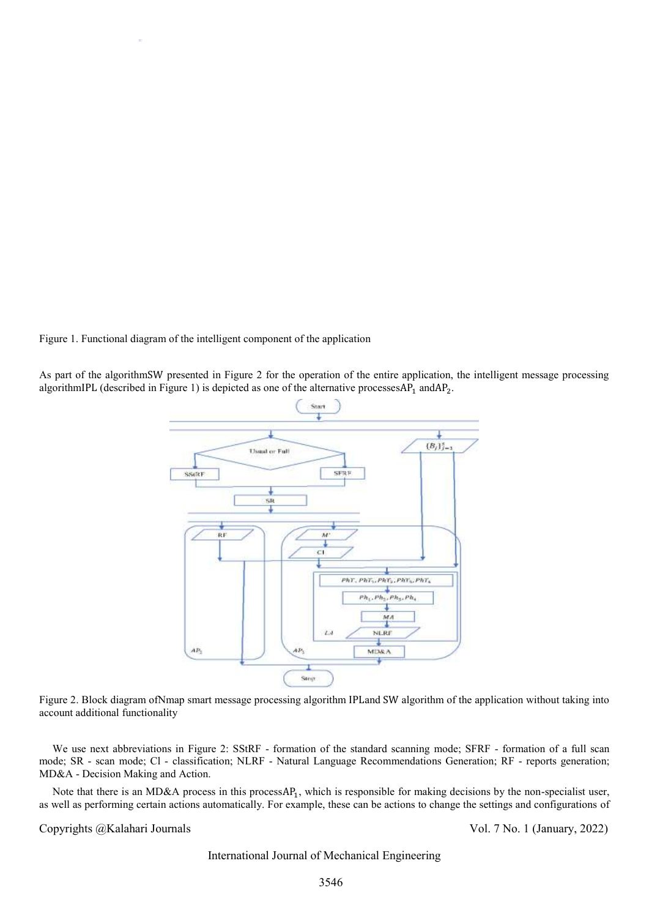Figure 1. Functional diagram of the intelligent component of the application

As part of the algorithmSW presented in Figure 2 for the operation of the entire application, the intelligent message processing algorithmIPL (described in Figure 1) is depicted as one of the alternative processes AP<sub>1</sub> and AP<sub>2</sub>.



Figure 2. Block diagram ofNmap smart message processing algorithm IPLand SW algorithm of the application without taking into account additional functionality

We use next abbreviations in Figure 2: SStRF - formation of the standard scanning mode; SFRF - formation of a full scan mode; SR - scan mode; Cl - classification; NLRF - Natural Language Recommendations Generation; RF - reports generation; MD&A - Decision Making and Action.

Note that there is an MD&A process in this process $AP_1$ , which is responsible for making decisions by the non-specialist user, as well as performing certain actions automatically. For example, these can be actions to change the settings and configurations of

Copyrights @Kalahari Journals Vol. 7 No. 1 (January, 2022)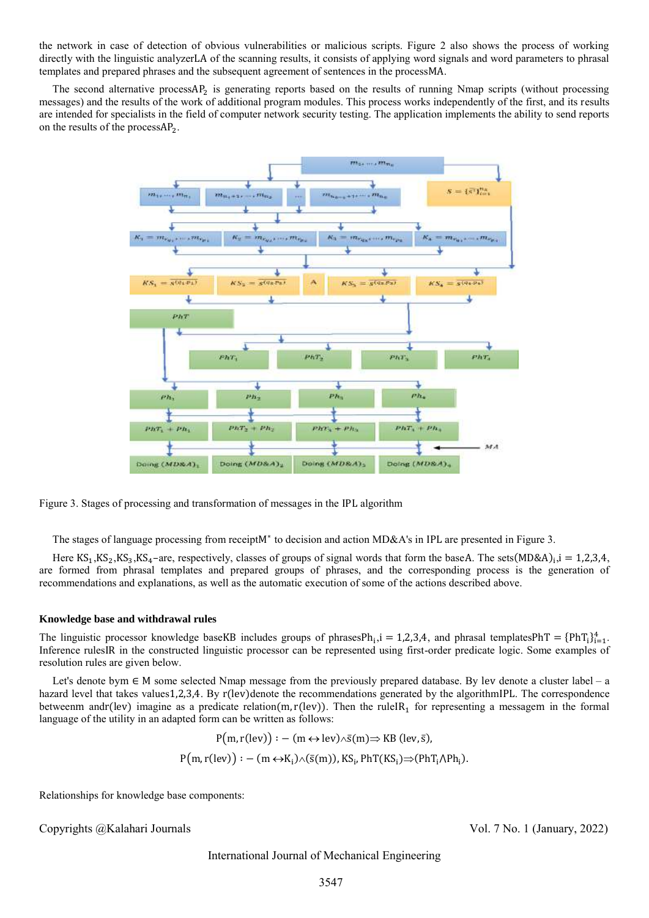the network in case of detection of obvious vulnerabilities or malicious scripts. Figure 2 also shows the process of working directly with the linguistic analyzerLA of the scanning results, it consists of applying word signals and word parameters to phrasal templates and prepared phrases and the subsequent agreement of sentences in the processMA.

The second alternative processAP<sub>2</sub> is generating reports based on the results of running Nmap scripts (without processing messages) and the results of the work of additional program modules. This process works independently of the first, and its results are intended for specialists in the field of computer network security testing. The application implements the ability to send reports on the results of the processAP<sub>2</sub>.





The stages of language processing from receiptM<sup>∗</sup> to decision and action MD&A's in IPL are presented in Figure 3.

Here  $KS_1, KS_2, KS_3, KS_4$ -are, respectively, classes of groups of signal words that form the baseA. The sets $(MD&A)_i, i = 1,2,3,4,$ are formed from phrasal templates and prepared groups of phrases, and the corresponding process is the generation of recommendations and explanations, as well as the automatic execution of some of the actions described above.

## **Knowledge base and withdrawal rules**

The linguistic processor knowledge baseKB includes groups of phrases $Ph_i$ ,  $i = 1,2,3,4$ , and phrasal templates $PhT = {PhT_i}_{i=1}^4$ . Inference rulesIR in the constructed linguistic processor can be represented using first-order predicate logic. Some examples of resolution rules are given below.

Let's denote bym ∈ M some selected Nmap message from the previously prepared database. By lev denote a cluster label – a hazard level that takes values 1,2,3,4. By r(lev)denote the recommendations generated by the algorithmIPL. The correspondence betweenm andr(lev) imagine as a predicate relation(m, r(lev)). Then the ruleIR<sub>1</sub> for representing a messagem in the formal language of the utility in an adapted form can be written as follows:

$$
P(m, r(lev)) : -(m \leftrightarrow lev) \land \bar{s}(m) \Rightarrow KB (lev, \bar{s}),
$$
  

$$
P(m, r(lev)) : -(m \leftrightarrow K_i) \land (\bar{s}(m)), KS_i, PhT(KS_i) \Rightarrow (PhT_i \land Ph_i).
$$

Relationships for knowledge base components:

Copyrights @Kalahari Journals Vol. 7 No. 1 (January, 2022)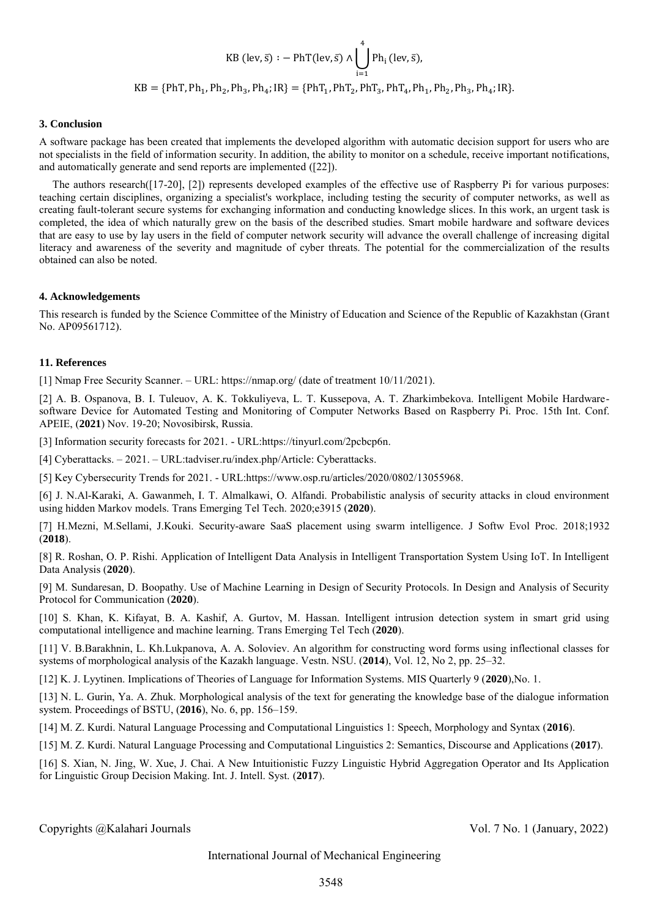$$
KB \text{ (lev, } \overline{s}) : - \text{PhT}(\text{lev, } \overline{s}) \wedge \bigcup_{i=1}^{4} \text{Ph}_{i} \text{ (lev, } \overline{s})
$$
\n
$$
KB = \{\text{PhT}, \text{Ph}_{1}, \text{Ph}_{2}, \text{Ph}_{3}, \text{Ph}_{4}; \text{IR}\} = \{\text{PhT}_{1}, \text{PhT}_{2}, \text{PhT}_{3}, \text{PhT}_{4}, \text{Ph}_{1}, \text{Ph}_{2}, \text{Ph}_{3}, \text{Ph}_{4}; \text{IR}\}.
$$

#### **3. Conclusion**

A software package has been created that implements the developed algorithm with automatic decision support for users who are not specialists in the field of information security. In addition, the ability to monitor on a schedule, receive important notifications, and automatically generate and send reports are implemented ([22]).

The authors research([17-20], [2]) represents developed examples of the effective use of Raspberry Pi for various purposes: teaching certain disciplines, organizing a specialist's workplace, including testing the security of computer networks, as well as creating fault-tolerant secure systems for exchanging information and conducting knowledge slices. In this work, an urgent task is completed, the idea of which naturally grew on the basis of the described studies. Smart mobile hardware and software devices that are easy to use by lay users in the field of computer network security will advance the overall challenge of increasing digital literacy and awareness of the severity and magnitude of cyber threats. The potential for the commercialization of the results obtained can also be noted.

#### **4. Acknowledgements**

This research is funded by the Science Committee of the Ministry of Education and Science of the Republic of Kazakhstan (Grant No. AP09561712).

#### **11. References**

[1] Nmap Free Security Scanner. – URL: https://nmap.org/ (date of treatment 10/11/2021).

[2] A. B. Ospanova, B. I. Tuleuov, A. K. Tokkuliyeva, L. T. Kussepova, A. T. Zharkimbekova. Intelligent Mobile Hardwaresoftware Device for Automated Testing and Monitoring of Computer Networks Based on Raspberry Pi. Proc. 15th Int. Conf. APEIE, (**2021**) Nov. 19-20; Novosibirsk, Russia.

[3] Information security forecasts for 2021. - URL:https://tinyurl.com/2pcbcp6n.

[4] Cyberattacks. – 2021. – URL[:tadviser.ru/index.php/Article: Cyberattacks.](http://www.tadviser.ru/index.php/Статья:Кибератаки)

[5] Key Cybersecurity Trends for 2021. - URL[:https://www.osp.ru/articles/2020/0802/13055968.](https://www.osp.ru/articles/2020/0802/13055968)

[6] J. N.Al-Karaki, A. Gawanmeh, I. T. Almalkawi, O. Alfandi. Probabilistic analysis of security attacks in cloud environment using hidden Markov models. Trans Emerging Tel Tech. 2020;e3915 (**2020**).

[7] H.Mezni, M.Sellami, J.Kouki. Security-aware SaaS placement using swarm intelligence. J Softw Evol Proc. 2018[;1932](https://doi.org/10.1002/smr.1932) (**2018**).

[8] R. Roshan, O. P. Rishi. Application of Intelligent Data Analysis in Intelligent Transportation System Using IoT. In Intelligent Data Analysis (**2020**).

[9] M. Sundaresan, D. Boopathy. Use of Machine Learning in Design of Security Protocols. In Design and Analysis of Security Protocol for Communication (**2020**).

[10] S. Khan, K. Kifayat, B. A. Kashif, A. Gurtov, M. Hassan. Intelligent intrusion detection system in smart grid using computational intelligence and machine learning. Trans Emerging Tel Tech (**2020**).

[11] V. B.Barakhnin, L. Kh.Lukpanova, A. A. Soloviev. An algorithm for constructing word forms using inflectional classes for systems of morphological analysis of the Kazakh language. Vestn. NSU. (**2014**), Vol. 12, No 2, pp. 25–32.

[12] K. J. Lyytinen. Implications of Theories of Language for Information Systems. MIS Quarterly 9 (**2020**),No. 1.

[13] N. L. Gurin, Ya. A. Zhuk. Morphological analysis of the text for generating the knowledge base of the dialogue information system. Proceedings of BSTU, (**2016**), No. 6, pp. 156–159.

[14] M. Z. Kurdi. Natural Language Processing and Computational Linguistics 1: Speech, Morphology and Syntax (**2016**).

[15] M. Z. Kurdi. Natural Language Processing and Computational Linguistics 2: Semantics, Discourse and Applications (**2017**).

[16] S. Xian, N. Jing, W. Xue, J. Chai. A New Intuitionistic Fuzzy Linguistic Hybrid Aggregation Operator and Its Application for Linguistic Group Decision Making. Int. J. Intell. Syst. (**2017**).